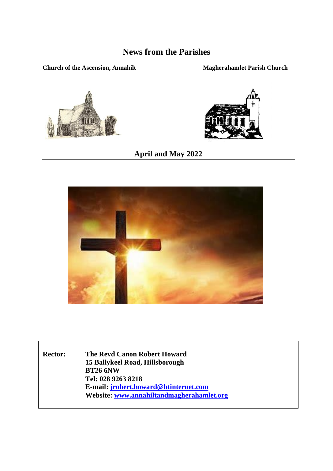# **News from the Parishes**

#### **Church of the Ascension, Annahilt Magherahamlet Parish Church**





**April and May 2022**



**Rector: The Revd Canon Robert Howard 15 Ballykeel Road, Hillsborough BT26 6NW Tel: 028 9263 8218 E-mail[: jrobert.howard@btinternet.com](mailto:jrobert.howard@btinternet.com) Website[: www.annahiltandmagherahamlet.org](http://www.annahiltandmagherahamlet.org/)**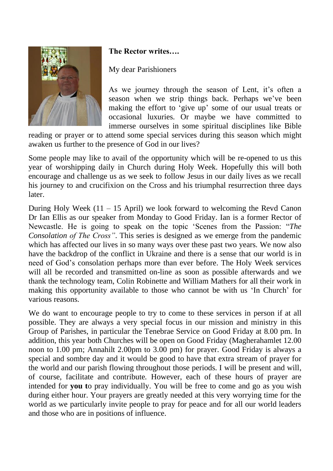

### **The Rector writes….**

#### My dear Parishioners

As we journey through the season of Lent, it's often a season when we strip things back. Perhaps we've been making the effort to 'give up' some of our usual treats or occasional luxuries. Or maybe we have committed to immerse ourselves in some spiritual disciplines like Bible

reading or prayer or to attend some special services during this season which might awaken us further to the presence of God in our lives?

Some people may like to avail of the opportunity which will be re-opened to us this year of worshipping daily in Church during Holy Week. Hopefully this will both encourage and challenge us as we seek to follow Jesus in our daily lives as we recall his journey to and crucifixion on the Cross and his triumphal resurrection three days later.

During Holy Week  $(11 - 15$  April) we look forward to welcoming the Revd Canon Dr Ian Ellis as our speaker from Monday to Good Friday. Ian is a former Rector of Newcastle. He is going to speak on the topic 'Scenes from the Passion: "*The Consolation of The Cross"*. This series is designed as we emerge from the pandemic which has affected our lives in so many ways over these past two years. We now also have the backdrop of the conflict in Ukraine and there is a sense that our world is in need of God's consolation perhaps more than ever before. The Holy Week services will all be recorded and transmitted on-line as soon as possible afterwards and we thank the technology team, Colin Robinette and William Mathers for all their work in making this opportunity available to those who cannot be with us 'In Church' for various reasons.

We do want to encourage people to try to come to these services in person if at all possible. They are always a very special focus in our mission and ministry in this Group of Parishes, in particular the Tenebrae Service on Good Friday at 8.00 pm. In addition, this year both Churches will be open on Good Friday (Magherahamlet 12.00 noon to 1.00 pm; Annahilt 2.00pm to 3.00 pm) for prayer. Good Friday is always a special and sombre day and it would be good to have that extra stream of prayer for the world and our parish flowing throughout those periods. I will be present and will, of course, facilitate and contribute. However, each of these hours of prayer are intended for **you t**o pray individually. You will be free to come and go as you wish during either hour. Your prayers are greatly needed at this very worrying time for the world as we particularly invite people to pray for peace and for all our world leaders and those who are in positions of influence.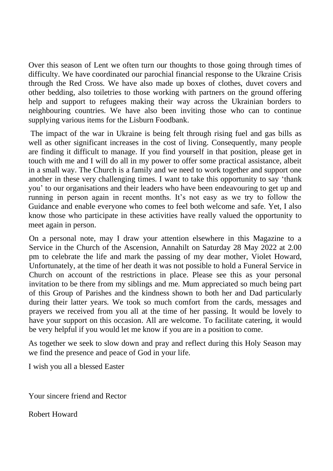Over this season of Lent we often turn our thoughts to those going through times of difficulty. We have coordinated our parochial financial response to the Ukraine Crisis through the Red Cross. We have also made up boxes of clothes, duvet covers and other bedding, also toiletries to those working with partners on the ground offering help and support to refugees making their way across the Ukrainian borders to neighbouring countries. We have also been inviting those who can to continue supplying various items for the Lisburn Foodbank.

The impact of the war in Ukraine is being felt through rising fuel and gas bills as well as other significant increases in the cost of living. Consequently, many people are finding it difficult to manage. If you find yourself in that position, please get in touch with me and I will do all in my power to offer some practical assistance, albeit in a small way. The Church is a family and we need to work together and support one another in these very challenging times. I want to take this opportunity to say 'thank you' to our organisations and their leaders who have been endeavouring to get up and running in person again in recent months. It's not easy as we try to follow the Guidance and enable everyone who comes to feel both welcome and safe. Yet, I also know those who participate in these activities have really valued the opportunity to meet again in person.

On a personal note, may I draw your attention elsewhere in this Magazine to a Service in the Church of the Ascension, Annahilt on Saturday 28 May 2022 at 2.00 pm to celebrate the life and mark the passing of my dear mother, Violet Howard, Unfortunately, at the time of her death it was not possible to hold a Funeral Service in Church on account of the restrictions in place. Please see this as your personal invitation to be there from my siblings and me. Mum appreciated so much being part of this Group of Parishes and the kindness shown to both her and Dad particularly during their latter years. We took so much comfort from the cards, messages and prayers we received from you all at the time of her passing. It would be lovely to have your support on this occasion. All are welcome. To facilitate catering, it would be very helpful if you would let me know if you are in a position to come.

As together we seek to slow down and pray and reflect during this Holy Season may we find the presence and peace of God in your life.

I wish you all a blessed Easter

Your sincere friend and Rector

Robert Howard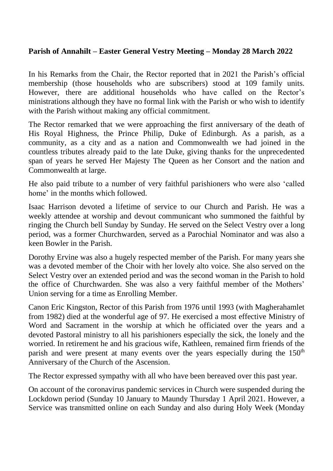#### **Parish of Annahilt – Easter General Vestry Meeting – Monday 28 March 2022**

In his Remarks from the Chair, the Rector reported that in 2021 the Parish's official membership (those households who are subscribers) stood at 109 family units. However, there are additional households who have called on the Rector's ministrations although they have no formal link with the Parish or who wish to identify with the Parish without making any official commitment.

The Rector remarked that we were approaching the first anniversary of the death of His Royal Highness, the Prince Philip, Duke of Edinburgh. As a parish, as a community, as a city and as a nation and Commonwealth we had joined in the countless tributes already paid to the late Duke, giving thanks for the unprecedented span of years he served Her Majesty The Queen as her Consort and the nation and Commonwealth at large.

He also paid tribute to a number of very faithful parishioners who were also 'called home' in the months which followed.

Isaac Harrison devoted a lifetime of service to our Church and Parish. He was a weekly attendee at worship and devout communicant who summoned the faithful by ringing the Church bell Sunday by Sunday. He served on the Select Vestry over a long period, was a former Churchwarden, served as a Parochial Nominator and was also a keen Bowler in the Parish.

Dorothy Ervine was also a hugely respected member of the Parish. For many years she was a devoted member of the Choir with her lovely alto voice. She also served on the Select Vestry over an extended period and was the second woman in the Parish to hold the office of Churchwarden. She was also a very faithful member of the Mothers' Union serving for a time as Enrolling Member.

Canon Eric Kingston, Rector of this Parish from 1976 until 1993 (with Magherahamlet from 1982) died at the wonderful age of 97. He exercised a most effective Ministry of Word and Sacrament in the worship at which he officiated over the years and a devoted Pastoral ministry to all his parishioners especially the sick, the lonely and the worried. In retirement he and his gracious wife, Kathleen, remained firm friends of the parish and were present at many events over the years especially during the 150<sup>th</sup> Anniversary of the Church of the Ascension.

The Rector expressed sympathy with all who have been bereaved over this past year.

On account of the coronavirus pandemic services in Church were suspended during the Lockdown period (Sunday 10 January to Maundy Thursday 1 April 2021. However, a Service was transmitted online on each Sunday and also during Holy Week (Monday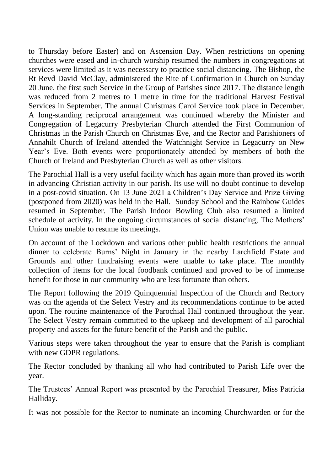to Thursday before Easter) and on Ascension Day. When restrictions on opening churches were eased and in-church worship resumed the numbers in congregations at services were limited as it was necessary to practice social distancing. The Bishop, the Rt Revd David McClay, administered the Rite of Confirmation in Church on Sunday 20 June, the first such Service in the Group of Parishes since 2017. The distance length was reduced from 2 metres to 1 metre in time for the traditional Harvest Festival Services in September. The annual Christmas Carol Service took place in December. A long-standing reciprocal arrangement was continued whereby the Minister and Congregation of Legacurry Presbyterian Church attended the First Communion of Christmas in the Parish Church on Christmas Eve, and the Rector and Parishioners of Annahilt Church of Ireland attended the Watchnight Service in Legacurry on New Year's Eve. Both events were proportionately attended by members of both the Church of Ireland and Presbyterian Church as well as other visitors.

The Parochial Hall is a very useful facility which has again more than proved its worth in advancing Christian activity in our parish. Its use will no doubt continue to develop in a post-covid situation. On 13 June 2021 a Children's Day Service and Prize Giving (postponed from 2020) was held in the Hall. Sunday School and the Rainbow Guides resumed in September. The Parish Indoor Bowling Club also resumed a limited schedule of activity. In the ongoing circumstances of social distancing, The Mothers' Union was unable to resume its meetings.

On account of the Lockdown and various other public health restrictions the annual dinner to celebrate Burns' Night in January in the nearby Larchfield Estate and Grounds and other fundraising events were unable to take place. The monthly collection of items for the local foodbank continued and proved to be of immense benefit for those in our community who are less fortunate than others.

The Report following the 2019 Quinquennial Inspection of the Church and Rectory was on the agenda of the Select Vestry and its recommendations continue to be acted upon. The routine maintenance of the Parochial Hall continued throughout the year. The Select Vestry remain committed to the upkeep and development of all parochial property and assets for the future benefit of the Parish and the public.

Various steps were taken throughout the year to ensure that the Parish is compliant with new GDPR regulations.

The Rector concluded by thanking all who had contributed to Parish Life over the year.

The Trustees' Annual Report was presented by the Parochial Treasurer, Miss Patricia Halliday.

It was not possible for the Rector to nominate an incoming Churchwarden or for the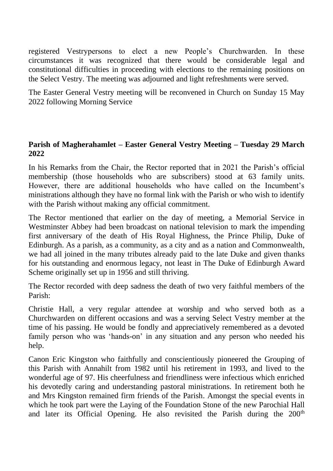registered Vestrypersons to elect a new People's Churchwarden. In these circumstances it was recognized that there would be considerable legal and constitutional difficulties in proceeding with elections to the remaining positions on the Select Vestry. The meeting was adjourned and light refreshments were served.

The Easter General Vestry meeting will be reconvened in Church on Sunday 15 May 2022 following Morning Service

#### **Parish of Magherahamlet – Easter General Vestry Meeting – Tuesday 29 March 2022**

In his Remarks from the Chair, the Rector reported that in 2021 the Parish's official membership (those households who are subscribers) stood at 63 family units. However, there are additional households who have called on the Incumbent's ministrations although they have no formal link with the Parish or who wish to identify with the Parish without making any official commitment.

The Rector mentioned that earlier on the day of meeting, a Memorial Service in Westminster Abbey had been broadcast on national television to mark the impending first anniversary of the death of His Royal Highness, the Prince Philip, Duke of Edinburgh. As a parish, as a community, as a city and as a nation and Commonwealth, we had all joined in the many tributes already paid to the late Duke and given thanks for his outstanding and enormous legacy, not least in The Duke of Edinburgh Award Scheme originally set up in 1956 and still thriving.

The Rector recorded with deep sadness the death of two very faithful members of the Parish:

Christie Hall, a very regular attendee at worship and who served both as a Churchwarden on different occasions and was a serving Select Vestry member at the time of his passing. He would be fondly and appreciatively remembered as a devoted family person who was 'hands-on' in any situation and any person who needed his help.

Canon Eric Kingston who faithfully and conscientiously pioneered the Grouping of this Parish with Annahilt from 1982 until his retirement in 1993, and lived to the wonderful age of 97. His cheerfulness and friendliness were infectious which enriched his devotedly caring and understanding pastoral ministrations. In retirement both he and Mrs Kingston remained firm friends of the Parish. Amongst the special events in which he took part were the Laying of the Foundation Stone of the new Parochial Hall and later its Official Opening. He also revisited the Parish during the 200<sup>th</sup>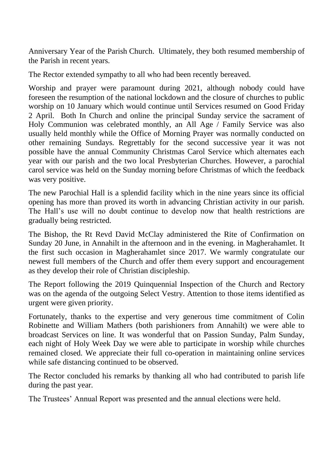Anniversary Year of the Parish Church. Ultimately, they both resumed membership of the Parish in recent years.

The Rector extended sympathy to all who had been recently bereaved.

Worship and prayer were paramount during 2021, although nobody could have foreseen the resumption of the national lockdown and the closure of churches to public worship on 10 January which would continue until Services resumed on Good Friday 2 April. Both In Church and online the principal Sunday service the sacrament of Holy Communion was celebrated monthly, an All Age / Family Service was also usually held monthly while the Office of Morning Prayer was normally conducted on other remaining Sundays. Regrettably for the second successive year it was not possible have the annual Community Christmas Carol Service which alternates each year with our parish and the two local Presbyterian Churches. However, a parochial carol service was held on the Sunday morning before Christmas of which the feedback was very positive.

The new Parochial Hall is a splendid facility which in the nine years since its official opening has more than proved its worth in advancing Christian activity in our parish. The Hall's use will no doubt continue to develop now that health restrictions are gradually being restricted.

The Bishop, the Rt Revd David McClay administered the Rite of Confirmation on Sunday 20 June, in Annahilt in the afternoon and in the evening. in Magherahamlet. It the first such occasion in Magherahamlet since 2017. We warmly congratulate our newest full members of the Church and offer them every support and encouragement as they develop their role of Christian discipleship.

The Report following the 2019 Quinquennial Inspection of the Church and Rectory was on the agenda of the outgoing Select Vestry. Attention to those items identified as urgent were given priority.

Fortunately, thanks to the expertise and very generous time commitment of Colin Robinette and William Mathers (both parishioners from Annahilt) we were able to broadcast Services on line. It was wonderful that on Passion Sunday, Palm Sunday, each night of Holy Week Day we were able to participate in worship while churches remained closed. We appreciate their full co-operation in maintaining online services while safe distancing continued to be observed.

The Rector concluded his remarks by thanking all who had contributed to parish life during the past year.

The Trustees' Annual Report was presented and the annual elections were held.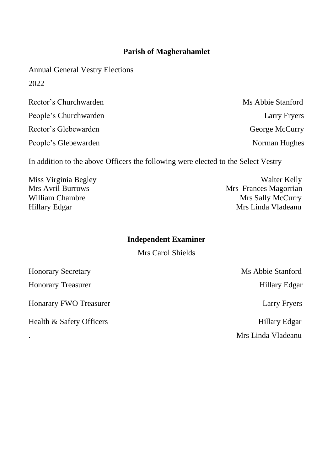#### **Parish of Magherahamlet**

Annual General Vestry Elections 2022

| Rector's Churchwarden | Ms Abbie Stanford |
|-----------------------|-------------------|
| People's Churchwarden | Larry Fryers      |
| Rector's Glebewarden  | George McCurry    |
| People's Glebewarden  | Norman Hughes     |

In addition to the above Officers the following were elected to the Select Vestry

Miss Virginia Begley **Walter Kelly**<br>Mrs Avril Burrows Magazine Mrs Avril Burrows Mrs Avril Burrows Mrs Frances Magorrian<br>William Chambre Mrs Sally McCurry Mrs Sally McCurry Hillary Edgar Mrs Linda Vladeanu

#### **Independent Examiner**

Mrs Carol Shields

| <b>Honorary Secretary</b>     | Ms Abbie Stanford  |
|-------------------------------|--------------------|
| <b>Honorary Treasurer</b>     | Hillary Edgar      |
| <b>Honarary FWO Treasurer</b> | Larry Fryers       |
| Health & Safety Officers      | Hillary Edgar      |
|                               | Mrs Linda Vladeanu |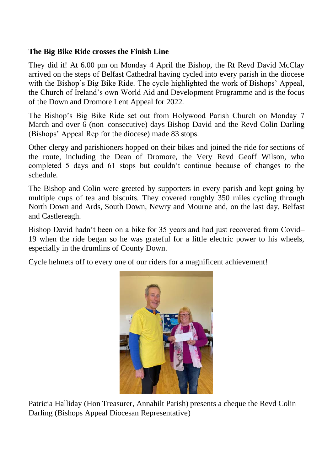#### **The Big Bike Ride crosses the Finish Line**

They did it! At 6.00 pm on Monday 4 April the Bishop, the Rt Revd David McClay arrived on the steps of Belfast Cathedral having cycled into every parish in the diocese with the Bishop's Big Bike Ride. The cycle highlighted the work of Bishops' Appeal, the Church of Ireland's own World Aid and Development Programme and is the focus of the Down and Dromore Lent Appeal for 2022.

The Bishop's Big Bike Ride set out from Holywood Parish Church on Monday 7 March and over 6 (non–consecutive) days Bishop David and the Revd Colin Darling (Bishops' Appeal Rep for the diocese) made 83 stops.

Other clergy and parishioners hopped on their bikes and joined the ride for sections of the route, including the Dean of Dromore, the Very Revd Geoff Wilson, who completed 5 days and 61 stops but couldn't continue because of changes to the schedule.

The Bishop and Colin were greeted by supporters in every parish and kept going by multiple cups of tea and biscuits. They covered roughly 350 miles cycling through North Down and Ards, South Down, Newry and Mourne and, on the last day, Belfast and Castlereagh.

Bishop David hadn't been on a bike for 35 years and had just recovered from Covid– 19 when the ride began so he was grateful for a little electric power to his wheels, especially in the drumlins of County Down.

Cycle helmets off to every one of our riders for a magnificent achievement!



Patricia Halliday (Hon Treasurer, Annahilt Parish) presents a cheque the Revd Colin Darling (Bishops Appeal Diocesan Representative)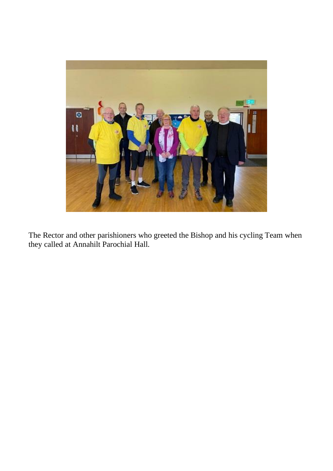

The Rector and other parishioners who greeted the Bishop and his cycling Team when they called at Annahilt Parochial Hall.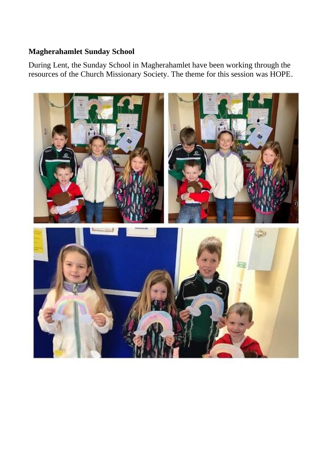### **Magherahamlet Sunday School**

During Lent, the Sunday School in Magherahamlet have been working through the resources of the Church Missionary Society. The theme for this session was HOPE.

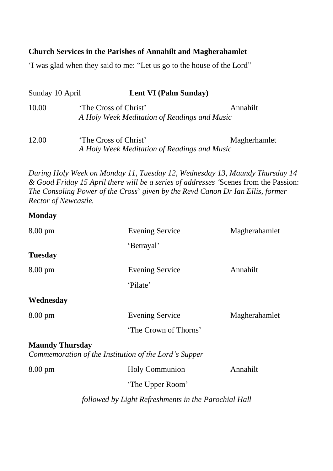#### **Church Services in the Parishes of Annahilt and Magherahamlet**

'I was glad when they said to me: "Let us go to the house of the Lord"

| Sunday 10 April | Lent VI (Palm Sunday)                                                 |              |
|-----------------|-----------------------------------------------------------------------|--------------|
| 10.00           | 'The Cross of Christ'<br>A Holy Week Meditation of Readings and Music | Annahilt     |
| 12.00           | 'The Cross of Christ'<br>A Holy Week Meditation of Readings and Music | Magherhamlet |

*During Holy Week on Monday 11, Tuesday 12, Wednesday 13, Maundy Thursday 14 & Good Friday 15 April there will be a series of addresses '*Scenes from the Passion: *The Consoling Power of the Cross*' *given by the Revd Canon Dr Ian Ellis, former Rector of Newcastle.*

#### **Monday**

| $8.00 \text{ pm}$      | <b>Evening Service</b>                                | Magherahamlet |
|------------------------|-------------------------------------------------------|---------------|
|                        | 'Betrayal'                                            |               |
| Tuesday                |                                                       |               |
| $8.00 \text{ pm}$      | <b>Evening Service</b>                                | Annahilt      |
|                        | 'Pilate'                                              |               |
| Wednesday              |                                                       |               |
| $8.00 \text{ pm}$      | <b>Evening Service</b>                                | Magherahamlet |
|                        | 'The Crown of Thorns'                                 |               |
| <b>Maundy Thursday</b> | Commemoration of the Institution of the Lord's Supper |               |
|                        |                                                       |               |
| $8.00 \text{ pm}$      | Holy Communion                                        | Annahilt      |
|                        | 'The Upper Room'                                      |               |
|                        | followed by Light Refreshments in the Parochial Hall  |               |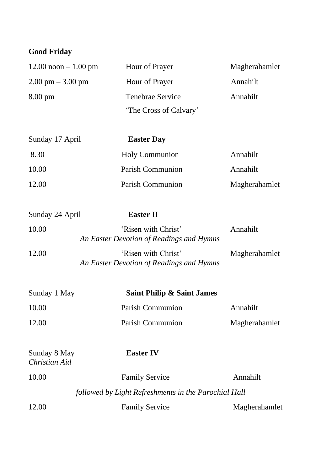# **Good Friday**

| $12.00 \text{ noon} - 1.00 \text{ pm}$ | Hour of Prayer         | Magherahamlet |
|----------------------------------------|------------------------|---------------|
| $2.00 \text{ pm} - 3.00 \text{ pm}$    | Hour of Prayer         | Annahilt      |
| $8.00 \text{ pm}$                      | Tenebrae Service       | Annahilt      |
|                                        | 'The Cross of Calvary' |               |

| Sunday 17 April | <b>Easter Day</b>     |               |
|-----------------|-----------------------|---------------|
| 8.30            | <b>Holy Communion</b> | Annahilt      |
| 10.00           | Parish Communion      | Annahilt      |
| 12.00           | Parish Communion      | Magherahamlet |

| Sunday 24 April | Easter II                                                       |               |
|-----------------|-----------------------------------------------------------------|---------------|
| 10.00           | 'Risen with Christ'<br>An Easter Devotion of Readings and Hymns | Annahilt      |
| 12.00           | 'Risen with Christ'<br>An Easter Devotion of Readings and Hymns | Magherahamlet |

| Sunday 1 May | Saint Philip & Saint James |               |
|--------------|----------------------------|---------------|
| 10.00        | Parish Communion           | Annahilt      |
| 12.00        | Parish Communion           | Magherahamlet |

| Sunday 8 May<br>Christian Aid | <b>Easter IV</b>                                     |               |
|-------------------------------|------------------------------------------------------|---------------|
| 10.00                         | <b>Family Service</b>                                | Annahilt      |
|                               | followed by Light Refreshments in the Parochial Hall |               |
| 12.00                         | <b>Family Service</b>                                | Magherahamlet |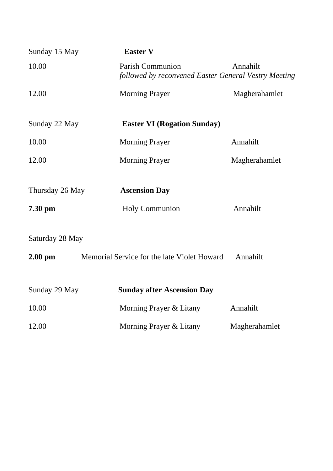| Sunday 15 May   | <b>Easter V</b>                                                          |               |
|-----------------|--------------------------------------------------------------------------|---------------|
| 10.00           | Parish Communion<br>followed by reconvened Easter General Vestry Meeting | Annahilt      |
| 12.00           | <b>Morning Prayer</b>                                                    | Magherahamlet |
| Sunday 22 May   | <b>Easter VI (Rogation Sunday)</b>                                       |               |
| 10.00           | <b>Morning Prayer</b>                                                    | Annahilt      |
| 12.00           | <b>Morning Prayer</b>                                                    | Magherahamlet |
| Thursday 26 May | <b>Ascension Day</b>                                                     |               |
| 7.30 pm         | Holy Communion                                                           | Annahilt      |
| Saturday 28 May |                                                                          |               |
| $2.00$ pm       | Memorial Service for the late Violet Howard                              | Annahilt      |
| Sunday 29 May   | <b>Sunday after Ascension Day</b>                                        |               |
| 10.00           | Morning Prayer & Litany                                                  | Annahilt      |
| 12.00           | Morning Prayer & Litany                                                  | Magherahamlet |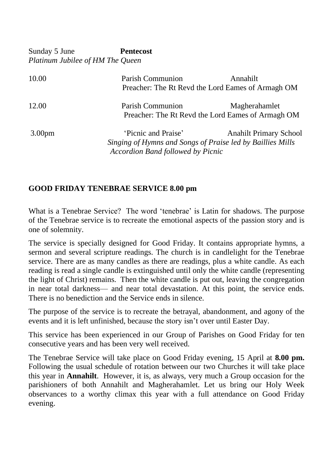Sunday 5 June **Pentecost**  *Platinum Jubilee of HM The Queen*

| 10.00              | Parish Communion                                                                                                              | Annahilt<br>Preacher: The Rt Revd the Lord Eames of Armagh OM      |
|--------------------|-------------------------------------------------------------------------------------------------------------------------------|--------------------------------------------------------------------|
| 12.00              | Parish Communion                                                                                                              | Magherahamlet<br>Preacher: The Rt Revd the Lord Eames of Armagh OM |
| 3.00 <sub>pm</sub> | 'Picnic and Praise'<br>Singing of Hymns and Songs of Praise led by Baillies Mills<br><b>Accordion Band followed by Picnic</b> | <b>Anahilt Primary School</b>                                      |

#### **GOOD FRIDAY TENEBRAE SERVICE 8.00 pm**

What is a Tenebrae Service? The word 'tenebrae' is Latin for shadows. The purpose of the Tenebrae service is to recreate the emotional aspects of the passion story and is one of solemnity.

The service is specially designed for Good Friday. It contains appropriate hymns, a sermon and several scripture readings. The church is in candlelight for the Tenebrae service. There are as many candles as there are readings, plus a white candle. As each reading is read a single candle is extinguished until only the white candle (representing the light of Christ) remains. Then the white candle is put out, leaving the congregation in near total darkness— and near total devastation. At this point, the service ends. There is no benediction and the Service ends in silence.

The purpose of the service is to recreate the betrayal, abandonment, and agony of the events and it is left unfinished, because the story isn't over until Easter Day.

This service has been experienced in our Group of Parishes on Good Friday for ten consecutive years and has been very well received.

The Tenebrae Service will take place on Good Friday evening, 15 April at **8.00 pm.**  Following the usual schedule of rotation between our two Churches it will take place this year in **Annahilt**. However, it is, as always, very much a Group occasion for the parishioners of both Annahilt and Magherahamlet. Let us bring our Holy Week observances to a worthy climax this year with a full attendance on Good Friday evening.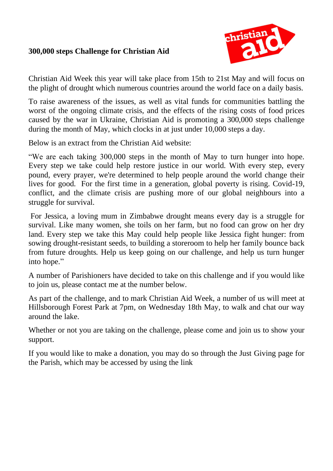#### **300,000 steps Challenge for Christian Aid**



Christian Aid Week this year will take place from 15th to 21st May and will focus on the plight of drought which numerous countries around the world face on a daily basis.

To raise awareness of the issues, as well as vital funds for communities battling the worst of the ongoing climate crisis, and the effects of the rising costs of food prices caused by the war in Ukraine, Christian Aid is promoting a 300,000 steps challenge during the month of May, which clocks in at just under 10,000 steps a day.

Below is an extract from the Christian Aid website:

"We are each taking 300,000 steps in the month of May to turn hunger into hope. Every step we take could help restore justice in our world. With every step, every pound, every prayer, we're determined to help people around the world change their lives for good. For the first time in a generation, global poverty is rising. Covid-19, conflict, and the climate crisis are pushing more of our global neighbours into a struggle for survival.

For Jessica, a loving mum in Zimbabwe drought means every day is a struggle for survival. Like many women, she toils on her farm, but no food can grow on her dry land. Every step we take this May could help people like Jessica fight hunger: from sowing drought-resistant seeds, to building a storeroom to help her family bounce back from future droughts. Help us keep going on our challenge, and help us turn hunger into hope."

A number of Parishioners have decided to take on this challenge and if you would like to join us, please contact me at the number below.

As part of the challenge, and to mark Christian Aid Week, a number of us will meet at Hillsborough Forest Park at 7pm, on Wednesday 18th May, to walk and chat our way around the lake.

Whether or not you are taking on the challenge, please come and join us to show your support.

If you would like to make a donation, you may do so through the Just Giving page for the Parish, which may be accessed by using the link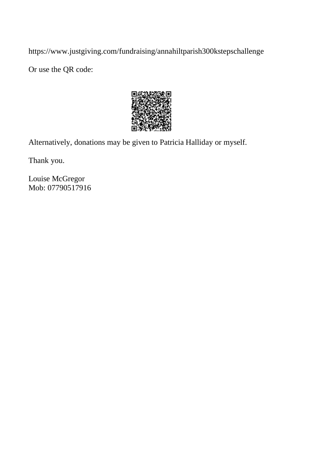https://www.justgiving.com/fundraising/annahiltparish300kstepschallenge

Or use the QR code:



Alternatively, donations may be given to Patricia Halliday or myself.

Thank you.

Louise McGregor Mob: 07790517916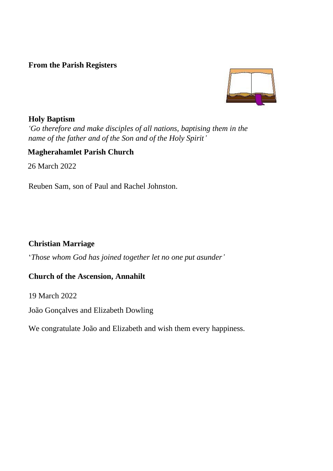#### **From the Parish Registers**



#### **Holy Baptism**

*'Go therefore and make disciples of all nations, baptising them in the name of the father and of the Son and of the Holy Spirit'*

#### **Magherahamlet Parish Church**

26 March 2022

Reuben Sam, son of Paul and Rachel Johnston.

#### **Christian Marriage**

'*Those whom God has joined together let no one put asunder'*

#### **Church of the Ascension, Annahilt**

19 March 2022

João Gonçalves and Elizabeth Dowling

We congratulate João and Elizabeth and wish them every happiness.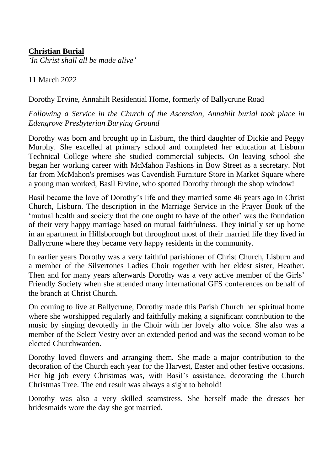#### **Christian Burial**

*'In Christ shall all be made alive'*

11 March 2022

Dorothy Ervine, Annahilt Residential Home, formerly of Ballycrune Road

*Following a Service in the Church of the Ascension, Annahilt burial took place in Edengrove Presbyterian Burying Ground*

Dorothy was born and brought up in Lisburn, the third daughter of Dickie and Peggy Murphy. She excelled at primary school and completed her education at Lisburn Technical College where she studied commercial subjects. On leaving school she began her working career with McMahon Fashions in Bow Street as a secretary. Not far from McMahon's premises was Cavendish Furniture Store in Market Square where a young man worked, Basil Ervine, who spotted Dorothy through the shop window!

Basil became the love of Dorothy's life and they married some 46 years ago in Christ Church, Lisburn. The description in the Marriage Service in the Prayer Book of the 'mutual health and society that the one ought to have of the other' was the foundation of their very happy marriage based on mutual faithfulness. They initially set up home in an apartment in Hillsborough but throughout most of their married life they lived in Ballycrune where they became very happy residents in the community.

In earlier years Dorothy was a very faithful parishioner of Christ Church, Lisburn and a member of the Silvertones Ladies Choir together with her eldest sister, Heather. Then and for many years afterwards Dorothy was a very active member of the Girls' Friendly Society when she attended many international GFS conferences on behalf of the branch at Christ Church.

On coming to live at Ballycrune, Dorothy made this Parish Church her spiritual home where she worshipped regularly and faithfully making a significant contribution to the music by singing devotedly in the Choir with her lovely alto voice. She also was a member of the Select Vestry over an extended period and was the second woman to be elected Churchwarden.

Dorothy loved flowers and arranging them. She made a major contribution to the decoration of the Church each year for the Harvest, Easter and other festive occasions. Her big job every Christmas was, with Basil's assistance, decorating the Church Christmas Tree. The end result was always a sight to behold!

Dorothy was also a very skilled seamstress. She herself made the dresses her bridesmaids wore the day she got married.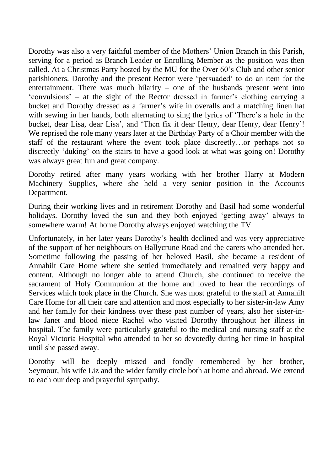Dorothy was also a very faithful member of the Mothers' Union Branch in this Parish, serving for a period as Branch Leader or Enrolling Member as the position was then called. At a Christmas Party hosted by the MU for the Over 60's Club and other senior parishioners. Dorothy and the present Rector were 'persuaded' to do an item for the entertainment. There was much hilarity – one of the husbands present went into 'convulsions' – at the sight of the Rector dressed in farmer's clothing carrying a bucket and Dorothy dressed as a farmer's wife in overalls and a matching linen hat with sewing in her hands, both alternating to sing the lyrics of 'There's a hole in the bucket, dear Lisa, dear Lisa', and 'Then fix it dear Henry, dear Henry, dear Henry'! We reprised the role many years later at the Birthday Party of a Choir member with the staff of the restaurant where the event took place discreetly…or perhaps not so discreetly 'duking' on the stairs to have a good look at what was going on! Dorothy was always great fun and great company.

Dorothy retired after many years working with her brother Harry at Modern Machinery Supplies, where she held a very senior position in the Accounts Department.

During their working lives and in retirement Dorothy and Basil had some wonderful holidays. Dorothy loved the sun and they both enjoyed 'getting away' always to somewhere warm! At home Dorothy always enjoyed watching the TV.

Unfortunately, in her later years Dorothy's health declined and was very appreciative of the support of her neighbours on Ballycrune Road and the carers who attended her. Sometime following the passing of her beloved Basil, she became a resident of Annahilt Care Home where she settled immediately and remained very happy and content. Although no longer able to attend Church, she continued to receive the sacrament of Holy Communion at the home and loved to hear the recordings of Services which took place in the Church. She was most grateful to the staff at Annahilt Care Home for all their care and attention and most especially to her sister-in-law Amy and her family for their kindness over these past number of years, also her sister-inlaw Janet and blood niece Rachel who visited Dorothy throughout her illness in hospital. The family were particularly grateful to the medical and nursing staff at the Royal Victoria Hospital who attended to her so devotedly during her time in hospital until she passed away.

Dorothy will be deeply missed and fondly remembered by her brother, Seymour, his wife Liz and the wider family circle both at home and abroad. We extend to each our deep and prayerful sympathy.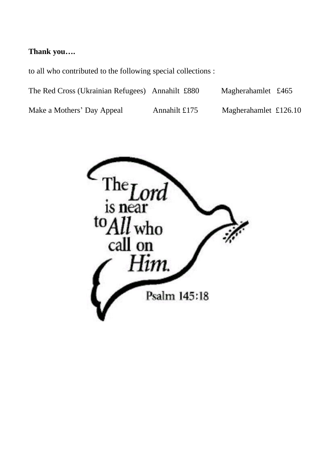#### **Thank you….**

to all who contributed to the following special collections :

Make a Mothers' Day Appeal Annahilt £175 Magherahamlet £126.10

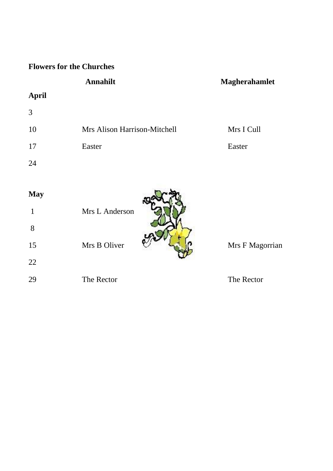# **Flowers for the Churches**

# Annahilt Magherahamlet

# **April**

| 3  |                              |            |
|----|------------------------------|------------|
| 10 | Mrs Alison Harrison-Mitchell | Mrs I Cull |
| 17 | Easter                       | Easter     |
| 24 |                              |            |

| <b>May</b> |                |                 |
|------------|----------------|-----------------|
|            | Mrs L Anderson |                 |
| 8          |                |                 |
| 15         | Mrs B Oliver   | Mrs F Magorrian |
| 22         |                |                 |
| 29         | The Rector     | The Rector      |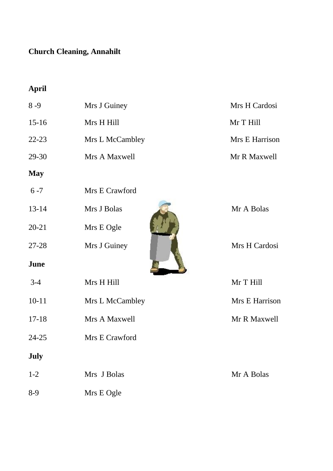# **Church Cleaning, Annahilt**

# **April**

| $8 - 9$   | Mrs J Guiney    | Mrs H Cardosi  |
|-----------|-----------------|----------------|
| $15-16$   | Mrs H Hill      | Mr T Hill      |
| 22-23     | Mrs L McCambley | Mrs E Harrison |
| 29-30     | Mrs A Maxwell   | Mr R Maxwell   |
| May       |                 |                |
| $6 - 7$   | Mrs E Crawford  |                |
| 13-14     | Mrs J Bolas     | Mr A Bolas     |
| $20 - 21$ | Mrs E Ogle      |                |
| 27-28     | Mrs J Guiney    | Mrs H Cardosi  |
| June      |                 |                |
| $3 - 4$   | Mrs H Hill      | Mr T Hill      |
| $10 - 11$ | Mrs L McCambley | Mrs E Harrison |
| 17-18     | Mrs A Maxwell   | Mr R Maxwell   |
| 24-25     | Mrs E Crawford  |                |
| July      |                 |                |
| $1 - 2$   | Mrs J Bolas     | Mr A Bolas     |
| $8-9$     | Mrs E Ogle      |                |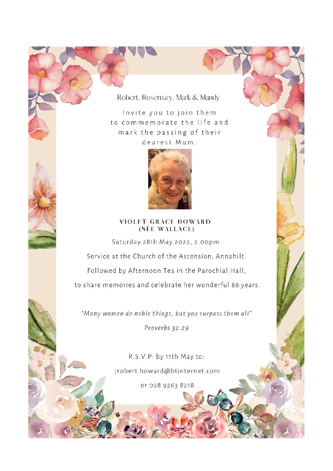# Robert, Rosemary, Mark & Mandy

Invite you to join them to commemorate the life and mark the passing of their dearest Mum.



#### **VIOLET GRACE HOWARD** (NÉE WALLACE)

Saturday 28th May 2022, 2.00pm Service at the Church of the Ascension, Annahilt. Followed by Afternoon Tea in the Parochial Hall, to share memories and celebrate her wonderful 86 years.

"Many women do noble things, but you surpass them all"

Proverbs 32:29

R.S.V.P: by 11th May to: jrobert.howard@btinternet.com or 028 9263 8218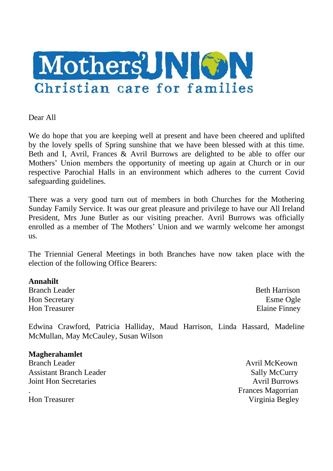

Dear All

We do hope that you are keeping well at present and have been cheered and uplifted by the lovely spells of Spring sunshine that we have been blessed with at this time. Beth and I, Avril, Frances & Avril Burrows are delighted to be able to offer our Mothers' Union members the opportunity of meeting up again at Church or in our respective Parochial Halls in an environment which adheres to the current Covid safeguarding guidelines.

There was a very good turn out of members in both Churches for the Mothering Sunday Family Service. It was our great pleasure and privilege to have our All Ireland President, Mrs June Butler as our visiting preacher. Avril Burrows was officially enrolled as a member of The Mothers' Union and we warmly welcome her amongst us.

The Triennial General Meetings in both Branches have now taken place with the election of the following Office Bearers:

#### **Annahilt**

**Branch Leader Beth Harrison** Hon Secretary **Esme** Ogle Hon Treasurer Elaine Finney

Edwina Crawford, Patricia Halliday, Maud Harrison, Linda Hassard, Madeline McMullan, May McCauley, Susan Wilson

#### **Magherahamlet**

Branch Leader **Avril McKeown** Avril McKeown Assistant Branch Leader Sally McCurry Joint Hon Secretaries Avril Burrows

. Frances Magorrian Hon Treasurer Virginia Begley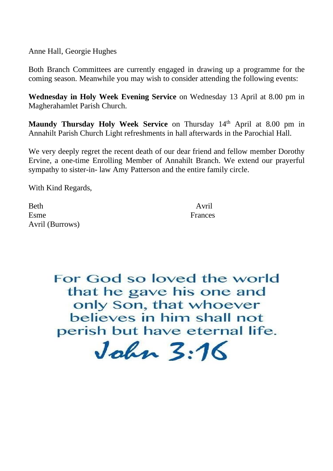Anne Hall, Georgie Hughes

Both Branch Committees are currently engaged in drawing up a programme for the coming season. Meanwhile you may wish to consider attending the following events:

**Wednesday in Holy Week Evening Service** on Wednesday 13 April at 8.00 pm in Magherahamlet Parish Church.

**Maundy Thursday Holy Week Service** on Thursday 14<sup>th</sup> April at 8.00 pm in Annahilt Parish Church Light refreshments in hall afterwards in the Parochial Hall.

We very deeply regret the recent death of our dear friend and fellow member Dorothy Ervine, a one-time Enrolling Member of Annahilt Branch. We extend our prayerful sympathy to sister-in- law Amy Patterson and the entire family circle.

With Kind Regards,

Beth Avril Esme Frances Avril (Burrows)

For God so loved the world that he gave his one and only Son, that whoever believes in him shall not perish but have eternal life.

 $Jahn 3.16$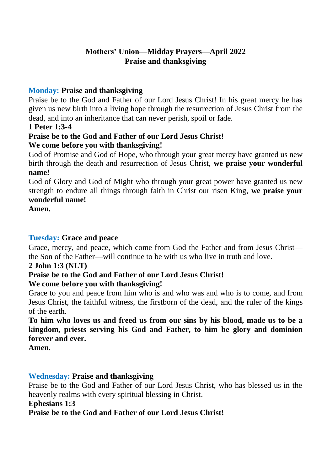# **Mothers' Union—Midday Prayers—April 2022 Praise and thanksgiving**

#### **Monday: Praise and thanksgiving**

Praise be to the God and Father of our Lord Jesus Christ! In his great mercy he has given us new birth into a living hope through the resurrection of Jesus Christ from the dead, and into an inheritance that can never perish, spoil or fade.

#### **1 Peter 1:3-4**

#### **Praise be to the God and Father of our Lord Jesus Christ! We come before you with thanksgiving!**

God of Promise and God of Hope, who through your great mercy have granted us new birth through the death and resurrection of Jesus Christ, **we praise your wonderful name!** 

God of Glory and God of Might who through your great power have granted us new strength to endure all things through faith in Christ our risen King, **we praise your wonderful name!** 

**Amen.** 

#### **Tuesday: Grace and peace**

Grace, mercy, and peace, which come from God the Father and from Jesus Christ the Son of the Father—will continue to be with us who live in truth and love.

#### **2 John 1:3 (NLT)**

# **Praise be to the God and Father of our Lord Jesus Christ!**

#### **We come before you with thanksgiving!**

Grace to you and peace from him who is and who was and who is to come, and from Jesus Christ, the faithful witness, the firstborn of the dead, and the ruler of the kings of the earth.

**To him who loves us and freed us from our sins by his blood, made us to be a kingdom, priests serving his God and Father, to him be glory and dominion forever and ever.** 

**Amen.** 

#### **Wednesday: Praise and thanksgiving**

Praise be to the God and Father of our Lord Jesus Christ, who has blessed us in the heavenly realms with every spiritual blessing in Christ.

#### **Ephesians 1:3**

#### **Praise be to the God and Father of our Lord Jesus Christ!**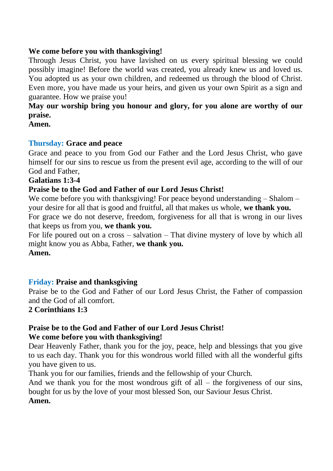#### **We come before you with thanksgiving!**

Through Jesus Christ, you have lavished on us every spiritual blessing we could possibly imagine! Before the world was created, you already knew us and loved us. You adopted us as your own children, and redeemed us through the blood of Christ. Even more, you have made us your heirs, and given us your own Spirit as a sign and guarantee. How we praise you!

### **May our worship bring you honour and glory, for you alone are worthy of our praise.**

**Amen.**

#### **Thursday: Grace and peace**

Grace and peace to you from God our Father and the Lord Jesus Christ, who gave himself for our sins to rescue us from the present evil age, according to the will of our God and Father,

#### **Galatians 1:3-4**

#### **Praise be to the God and Father of our Lord Jesus Christ!**

We come before you with thanksgiving! For peace beyond understanding  $-$  Shalom  $$ your desire for all that is good and fruitful, all that makes us whole, **we thank you.** 

For grace we do not deserve, freedom, forgiveness for all that is wrong in our lives that keeps us from you, **we thank you.** 

For life poured out on a cross – salvation – That divine mystery of love by which all might know you as Abba, Father, **we thank you.**

#### **Amen.**

#### **Friday: Praise and thanksgiving**

Praise be to the God and Father of our Lord Jesus Christ, the Father of compassion and the God of all comfort.

#### **2 Corinthians 1:3**

#### **Praise be to the God and Father of our Lord Jesus Christ! We come before you with thanksgiving!**

Dear Heavenly Father, thank you for the joy, peace, help and blessings that you give to us each day. Thank you for this wondrous world filled with all the wonderful gifts you have given to us.

Thank you for our families, friends and the fellowship of your Church.

And we thank you for the most wondrous gift of all  $-$  the forgiveness of our sins, bought for us by the love of your most blessed Son, our Saviour Jesus Christ.

#### **Amen.**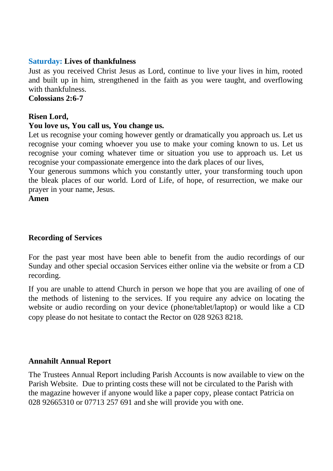#### **Saturday: Lives of thankfulness**

Just as you received Christ Jesus as Lord, continue to live your lives in him, rooted and built up in him, strengthened in the faith as you were taught, and overflowing with thankfulness.

**Colossians 2:6-7** 

#### **Risen Lord,**

#### **You love us, You call us, You change us.**

Let us recognise your coming however gently or dramatically you approach us. Let us recognise your coming whoever you use to make your coming known to us. Let us recognise your coming whatever time or situation you use to approach us. Let us recognise your compassionate emergence into the dark places of our lives,

Your generous summons which you constantly utter, your transforming touch upon the bleak places of our world. Lord of Life, of hope, of resurrection, we make our prayer in your name, Jesus.

**Amen**

#### **Recording of Services**

For the past year most have been able to benefit from the audio recordings of our Sunday and other special occasion Services either online via the website or from a CD recording.

If you are unable to attend Church in person we hope that you are availing of one of the methods of listening to the services. If you require any advice on locating the website or audio recording on your device (phone/tablet/laptop) or would like a CD copy please do not hesitate to contact the Rector on 028 9263 8218.

#### **Annahilt Annual Report**

The Trustees Annual Report including Parish Accounts is now available to view on the Parish Website. Due to printing costs these will not be circulated to the Parish with the magazine however if anyone would like a paper copy, please contact Patricia on 028 92665310 or 07713 257 691 and she will provide you with one.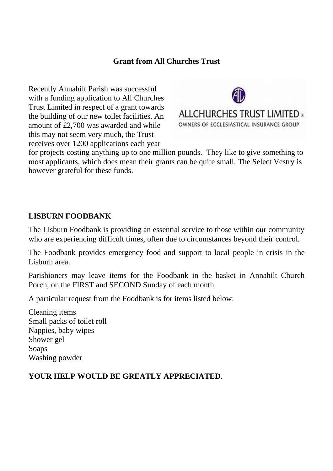#### **Grant from All Churches Trust**

Recently Annahilt Parish was successful with a funding application to All Churches Trust Limited in respect of a grant towards the building of our new toilet facilities. An amount of £2,700 was awarded and while this may not seem very much, the Trust receives over 1200 applications each year



for projects costing anything up to one million pounds. They like to give something to most applicants, which does mean their grants can be quite small. The Select Vestry is however grateful for these funds.

#### **LISBURN FOODBANK**

The Lisburn Foodbank is providing an essential service to those within our community who are experiencing difficult times, often due to circumstances beyond their control.

The Foodbank provides emergency food and support to local people in crisis in the Lisburn area.

Parishioners may leave items for the Foodbank in the basket in Annahilt Church Porch, on the FIRST and SECOND Sunday of each month.

A particular request from the Foodbank is for items listed below:

Cleaning items Small packs of toilet roll Nappies, baby wipes Shower gel Soaps Washing powder

#### **YOUR HELP WOULD BE GREATLY APPRECIATED**.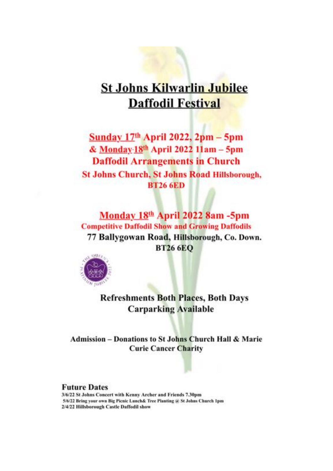# **St Johns Kilwarlin Jubilee Daffodil Festival**

Sunday  $17<sup>th</sup>$  April 2022, 2pm - 5pm & Monday-18th April 2022 11am - 5pm **Daffodil Arrangements in Church St Johns Church, St Johns Road Hillsborough, RT26 6ED** 

Monday 18th April 2022 8am -5pm **Competitive Daffodil Show and Growing Daffodils** 77 Ballygowan Road, Hillsborough, Co. Down. **BT26 6EO** 



**Refreshments Both Places, Both Days Carparking Available** 

**Admission - Donations to St Johns Church Hall & Marie Curie Cancer Charity** 

#### **Future Dates**

3/6/22 St Johns Concert with Kenny Archer and Friends 7.30pm 5/6/22 Bring your own Big Picnic Lunch& Tree Planting @ St Johns Church 1pm 2/4/22 Hillsborough Castle Daffodil show